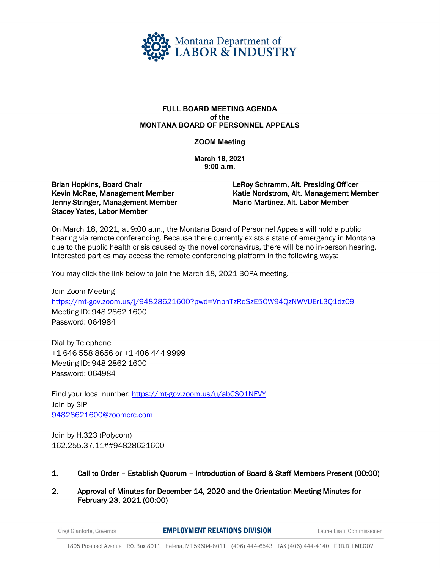

## **FULL BOARD MEETING AGENDA of the MONTANA BOARD OF PERSONNEL APPEALS**

## **ZOOM Meeting**

**March 18, 2021 9:00 a.m.** 

## Brian Hopkins, Board Chair Kevin McRae, Management Member Jenny Stringer, Management Member Stacey Yates, Labor Member

LeRoy Schramm, Alt. Presiding Officer Katie Nordstrom, Alt. Management Member Mario Martinez, Alt. Labor Member

On March 18, 2021, at 9:00 a.m., the Montana Board of Personnel Appeals will hold a public hearing via remote conferencing. Because there currently exists a state of emergency in Montana due to the public health crisis caused by the novel coronavirus, there will be no in-person hearing. Interested parties may access the remote conferencing platform in the following ways:

You may click the link below to join the March 18, 2021 BOPA meeting.

Join Zoom Meeting <https://mt-gov.zoom.us/j/94828621600?pwd=VnphTzRqSzE5OW94QzNWVUErL3Q1dz09> Meeting ID: 948 2862 1600 Password: 064984

Dial by Telephone +1 646 558 8656 or +1 406 444 9999 Meeting ID: 948 2862 1600 Password: 064984

Find your local number:<https://mt-gov.zoom.us/u/abCS01NFVY> Join by SIP [94828621600@zoomcrc.com](mailto:94828621600@zoomcrc.com)

Join by H.323 (Polycom) 162.255.37.11##94828621600

- 1. Call to Order Establish Quorum Introduction of Board & Staff Members Present (00:00)
- 2. Approval of Minutes for December 14, 2020 and the Orientation Meeting Minutes for February 23, 2021 (00:00)

Greg Gianforte, Governor

**EMPLOYMENT RELATIONS DIVISION** 

Laurie Esau, Commissioner